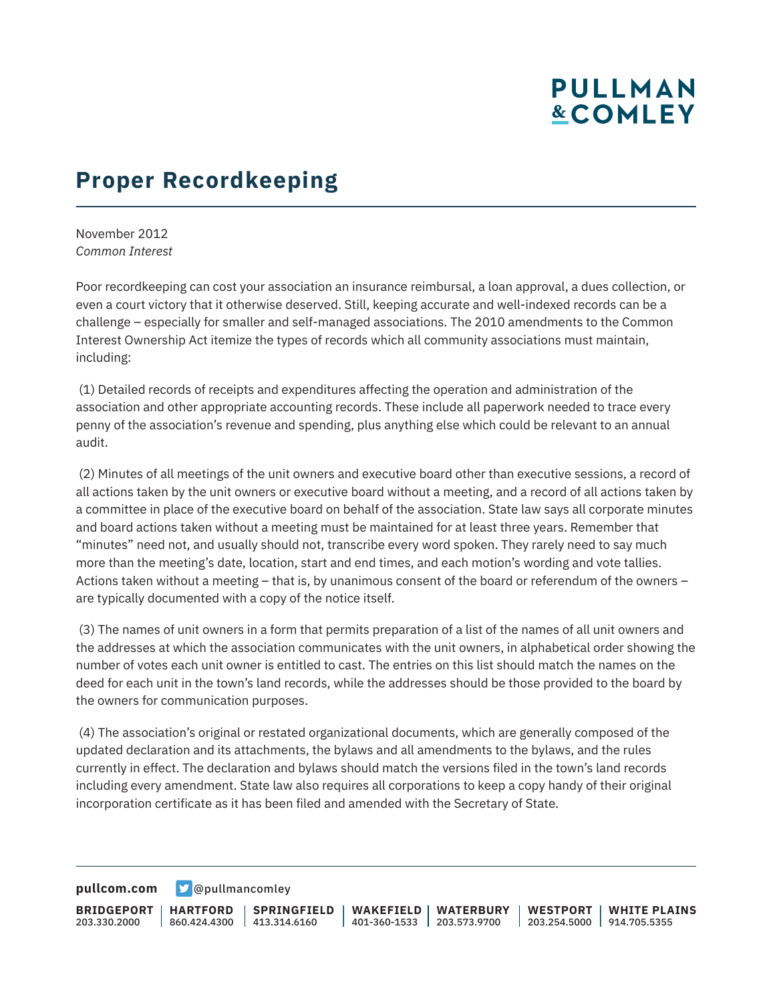## **PULLMAN &COMLEY**

## **Proper Recordkeeping**

November 2012 *Common Interest*

Poor recordkeeping can cost your association an insurance reimbursal, a loan approval, a dues collection, or even a court victory that it otherwise deserved. Still, keeping accurate and well-indexed records can be a challenge – especially for smaller and self-managed associations. The 2010 amendments to the Common Interest Ownership Act itemize the types of records which all community associations must maintain, including:

 (1) Detailed records of receipts and expenditures affecting the operation and administration of the association and other appropriate accounting records. These include all paperwork needed to trace every penny of the association's revenue and spending, plus anything else which could be relevant to an annual audit.

 (2) Minutes of all meetings of the unit owners and executive board other than executive sessions, a record of all actions taken by the unit owners or executive board without a meeting, and a record of all actions taken by a committee in place of the executive board on behalf of the association. State law says all corporate minutes and board actions taken without a meeting must be maintained for at least three years. Remember that "minutes" need not, and usually should not, transcribe every word spoken. They rarely need to say much more than the meeting's date, location, start and end times, and each motion's wording and vote tallies. Actions taken without a meeting – that is, by unanimous consent of the board or referendum of the owners – are typically documented with a copy of the notice itself.

 (3) The names of unit owners in a form that permits preparation of a list of the names of all unit owners and the addresses at which the association communicates with the unit owners, in alphabetical order showing the number of votes each unit owner is entitled to cast. The entries on this list should match the names on the deed for each unit in the town's land records, while the addresses should be those provided to the board by the owners for communication purposes.

 (4) The association's original or restated organizational documents, which are generally composed of the updated declaration and its attachments, the bylaws and all amendments to the bylaws, and the rules currently in effect. The declaration and bylaws should match the versions filed in the town's land records including every amendment. State law also requires all corporations to keep a copy handy of their original incorporation certificate as it has been filed and amended with the Secretary of State.

**[pullcom.com](https://www.pullcom.com) g** [@pullmancomley](https://twitter.com/PullmanComley)

**BRIDGEPORT** 203.330.2000 **HARTFORD** 860.424.4300 413.314.6160 **SPRINGFIELD WAKEFIELD WATERBURY** 401-360-1533 203.573.9700 **WESTPORT WHITE PLAINS** 203.254.5000 914.705.5355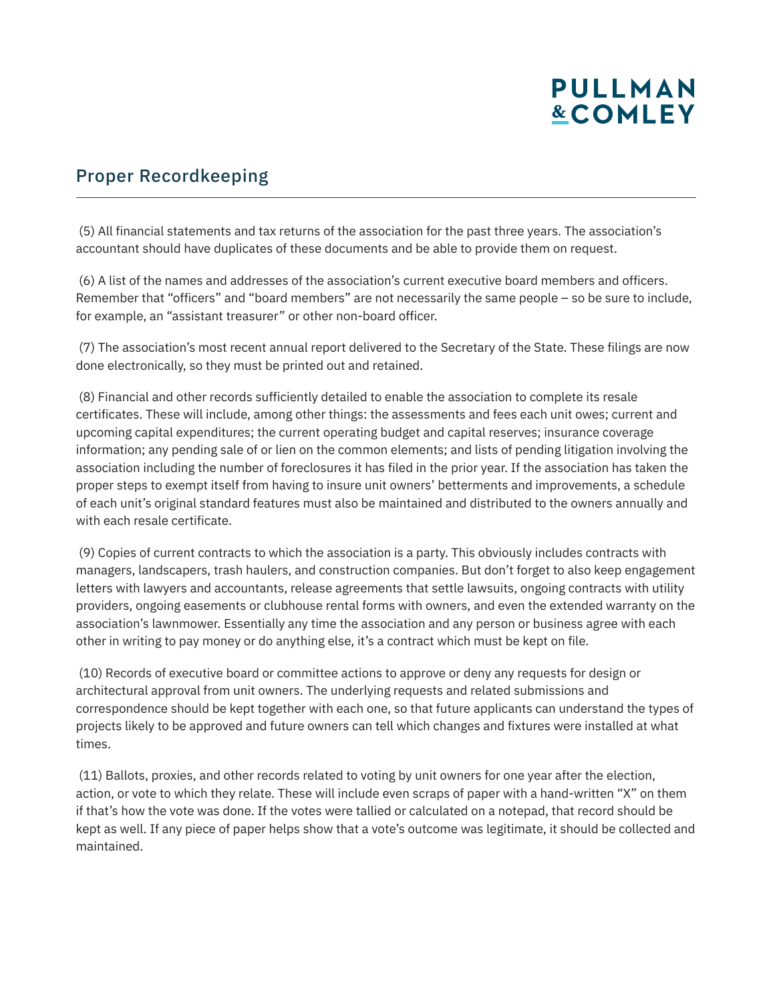# **PULLMAN &COMLEY**

## Proper Recordkeeping

 (5) All financial statements and tax returns of the association for the past three years. The association's accountant should have duplicates of these documents and be able to provide them on request.

 (6) A list of the names and addresses of the association's current executive board members and officers. Remember that "officers" and "board members" are not necessarily the same people – so be sure to include, for example, an "assistant treasurer" or other non-board officer.

 (7) The association's most recent annual report delivered to the Secretary of the State. These filings are now done electronically, so they must be printed out and retained.

 (8) Financial and other records sufficiently detailed to enable the association to complete its resale certificates. These will include, among other things: the assessments and fees each unit owes; current and upcoming capital expenditures; the current operating budget and capital reserves; insurance coverage information; any pending sale of or lien on the common elements; and lists of pending litigation involving the association including the number of foreclosures it has filed in the prior year. If the association has taken the proper steps to exempt itself from having to insure unit owners' betterments and improvements, a schedule of each unit's original standard features must also be maintained and distributed to the owners annually and with each resale certificate.

 (9) Copies of current contracts to which the association is a party. This obviously includes contracts with managers, landscapers, trash haulers, and construction companies. But don't forget to also keep engagement letters with lawyers and accountants, release agreements that settle lawsuits, ongoing contracts with utility providers, ongoing easements or clubhouse rental forms with owners, and even the extended warranty on the association's lawnmower. Essentially any time the association and any person or business agree with each other in writing to pay money or do anything else, it's a contract which must be kept on file.

 (10) Records of executive board or committee actions to approve or deny any requests for design or architectural approval from unit owners. The underlying requests and related submissions and correspondence should be kept together with each one, so that future applicants can understand the types of projects likely to be approved and future owners can tell which changes and fixtures were installed at what times.

 (11) Ballots, proxies, and other records related to voting by unit owners for one year after the election, action, or vote to which they relate. These will include even scraps of paper with a hand-written "X" on them if that's how the vote was done. If the votes were tallied or calculated on a notepad, that record should be kept as well. If any piece of paper helps show that a vote's outcome was legitimate, it should be collected and maintained.